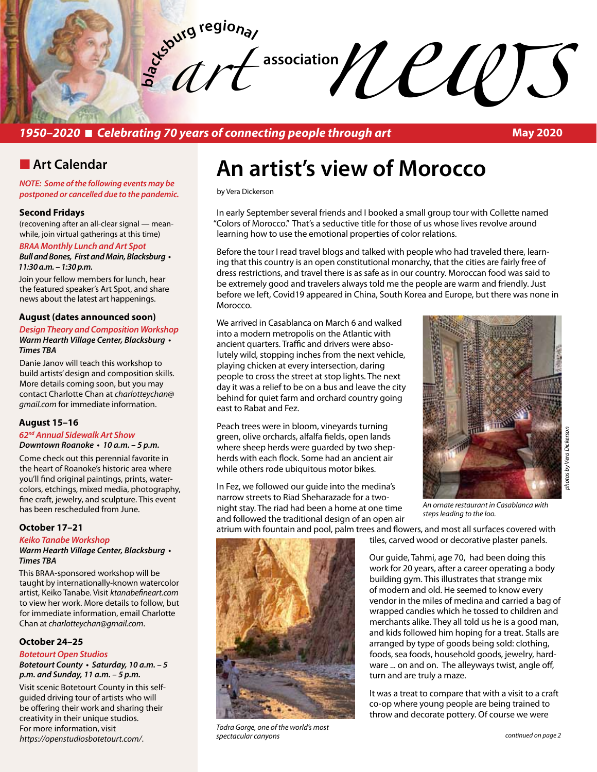**bla** Exercise the proper is of connecting people through art May 2020 *art* 

### *1950–2020* n *Celebrating 70 years of connecting people through art*

**May 2020**

### **n** Art Calendar

*NOTE: Some of the following events may be postponed or cancelled due to the pandemic.* 

#### **Second Fridays**

(recovening after an all-clear signal — meanwhile, join virtual gatherings at this time)

#### *BRAA Monthly Lunch and Art Spot* **Bull and Bones, First and Main, Blacksburg •**  *11:30 a.m. – 1:30 p.m.*

Join your fellow members for lunch, hear the featured speaker's Art Spot, and share news about the latest art happenings.

#### **August (dates announced soon)**

#### *Design Theory and Composition Workshop* **Warm Hearth Village Center, Blacksburg •**  *Times TBA*

Danie Janov will teach this workshop to build artists' design and composition skills. More details coming soon, but you may contact Charlotte Chan at *charlotteychan@ gmail.com* for immediate information.

#### **August 15–16**

#### *62nd Annual Sidewalk Art Show* **Downtown Roanoke • 10 a.m. – 5 p.m.**

Come check out this perennial favorite in the heart of Roanoke's historic area where you'll find original paintings, prints, watercolors, etchings, mixed media, photography, fine craft, jewelry, and sculpture. This event has been rescheduled from June.

#### **October 17–21**

#### *Keiko Tanabe Workshop*

**Warm Hearth Village Center, Blacksburg •**  *Times TBA*

This BRAA-sponsored workshop will be taught by internationally-known watercolor artist, Keiko Tanabe. Visit *ktanabefineart.com* to view her work. More details to follow, but for immediate information, email Charlotte Chan at *charlotteychan@gmail.com*.

#### **October 24–25**

#### *Botetourt Open Studios*

**Botetourt County • Saturday, 10 a.m. – 5 p.m. and Sunday, 11 a.m. – 5 p.m.**

Visit scenic Botetourt County in this selfguided driving tour of artists who will be offering their work and sharing their creativity in their unique studios. For more information, visit *https://openstudiosbotetourt.com/*.

# **An artist's view of Morocco**

by Vera Dickerson

In early September several friends and I booked a small group tour with Collette named "Colors of Morocco." That's a seductive title for those of us whose lives revolve around learning how to use the emotional properties of color relations.

Before the tour I read travel blogs and talked with people who had traveled there, learning that this country is an open constitutional monarchy, that the cities are fairly free of dress restrictions, and travel there is as safe as in our country. Moroccan food was said to be extremely good and travelers always told me the people are warm and friendly. Just before we left, Covid19 appeared in China, South Korea and Europe, but there was none in **Morocco** 

We arrived in Casablanca on March 6 and walked into a modern metropolis on the Atlantic with ancient quarters. Traffic and drivers were absolutely wild, stopping inches from the next vehicle, playing chicken at every intersection, daring people to cross the street at stop lights. The next day it was a relief to be on a bus and leave the city behind for quiet farm and orchard country going east to Rabat and Fez.

Peach trees were in bloom, vineyards turning green, olive orchards, alfalfa fields, open lands where sheep herds were guarded by two shepherds with each flock. Some had an ancient air while others rode ubiquitous motor bikes.

In Fez, we followed our guide into the medina's narrow streets to Riad Sheharazade for a twonight stay. The riad had been a home at one time and followed the traditional design of an open air



*An ornate restaurant in Casablanca with steps leading to the loo.*

atrium with fountain and pool, palm trees and flowers, and most all surfaces covered with tiles, carved wood or decorative plaster panels.

> Our guide, Tahmi, age 70, had been doing this work for 20 years, after a career operating a body building gym. This illustrates that strange mix of modern and old. He seemed to know every vendor in the miles of medina and carried a bag of wrapped candies which he tossed to children and merchants alike. They all told us he is a good man, and kids followed him hoping for a treat. Stalls are arranged by type of goods being sold: clothing, foods, sea foods, household goods, jewelry, hardware ... on and on. The alleyways twist, angle off, turn and are truly a maze.

> It was a treat to compare that with a visit to a craft co-op where young people are being trained to throw and decorate pottery. Of course we were

*Todra Gorge, one of the world's most spectacular canyons*

*continued on page 2*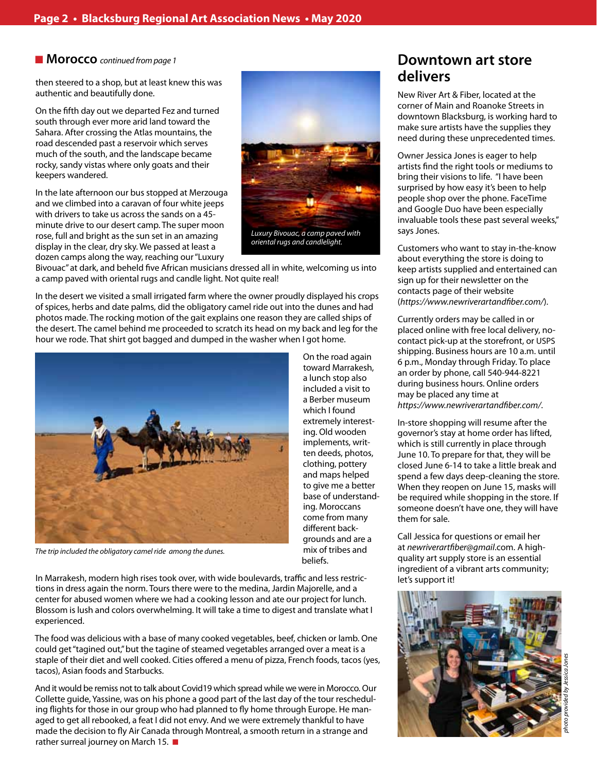then steered to a shop, but at least knew this was authentic and beautifully done.

On the fifth day out we departed Fez and turned south through ever more arid land toward the Sahara. After crossing the Atlas mountains, the road descended past a reservoir which serves much of the south, and the landscape became rocky, sandy vistas where only goats and their keepers wandered.

In the late afternoon our bus stopped at Merzouga and we climbed into a caravan of four white jeeps with drivers to take us across the sands on a 45 minute drive to our desert camp. The super moon rose, full and bright as the sun set in an amazing display in the clear, dry sky. We passed at least a dozen camps along the way, reaching our "Luxury



*oriental rugs and candlelight.*

Bivouac" at dark, and beheld five African musicians dressed all in white, welcoming us into a camp paved with oriental rugs and candle light. Not quite real!

In the desert we visited a small irrigated farm where the owner proudly displayed his crops of spices, herbs and date palms, did the obligatory camel ride out into the dunes and had photos made. The rocking motion of the gait explains one reason they are called ships of the desert. The camel behind me proceeded to scratch its head on my back and leg for the hour we rode. That shirt got bagged and dumped in the washer when I got home.



*The trip included the obligatory camel ride among the dunes.*

In Marrakesh, modern high rises took over, with wide boulevards, traffic and less restrictions in dress again the norm. Tours there were to the medina, Jardin Majorelle, and a center for abused women where we had a cooking lesson and ate our project for lunch. Blossom is lush and colors overwhelming. It will take a time to digest and translate what I experienced.

The food was delicious with a base of many cooked vegetables, beef, chicken or lamb. One could get "tagined out," but the tagine of steamed vegetables arranged over a meat is a staple of their diet and well cooked. Cities offered a menu of pizza, French foods, tacos (yes, tacos), Asian foods and Starbucks.

And it would be remiss not to talk about Covid19 which spread while we were in Morocco. Our Collette guide, Yassine, was on his phone a good part of the last day of the tour rescheduling flights for those in our group who had planned to fly home through Europe. He managed to get all rebooked, a feat I did not envy. And we were extremely thankful to have made the decision to fly Air Canada through Montreal, a smooth return in a strange and rather surreal journey on March 15.  $\blacksquare$ 

On the road again toward Marrakesh, a lunch stop also included a visit to a Berber museum which I found extremely interesting. Old wooden implements, written deeds, photos, clothing, pottery and maps helped to give me a better base of understanding. Moroccans come from many different backgrounds and are a mix of tribes and beliefs.

### **n Morocco** *continued from page 1* **Downtown art store delivers**

New River Art & Fiber, located at the corner of Main and Roanoke Streets in downtown Blacksburg, is working hard to make sure artists have the supplies they need during these unprecedented times.

Owner Jessica Jones is eager to help artists find the right tools or mediums to bring their visions to life. "I have been surprised by how easy it's been to help people shop over the phone. FaceTime and Google Duo have been especially invaluable tools these past several weeks," says Jones.

Customers who want to stay in-the-know about everything the store is doing to keep artists supplied and entertained can sign up for their newsletter on the contacts page of their website (*https://www.newriverartandfiber.com/*).

Currently orders may be called in or placed online with free local delivery, nocontact pick-up at the storefront, or USPS shipping. Business hours are 10 a.m. until 6 p.m., Monday through Friday. To place an order by phone, call 540-944-8221 during business hours. Online orders may be placed any time at *https://www.newriverartandfiber.com/*.

In-store shopping will resume after the governor's stay at home order has lifted, which is still currently in place through June 10. To prepare for that, they will be closed June 6-14 to take a little break and spend a few days deep-cleaning the store. When they reopen on June 15, masks will be required while shopping in the store. If someone doesn't have one, they will have them for sale.

Call Jessica for questions or email her at *newriverartfiber@gmail*.com. A highquality art supply store is an essential ingredient of a vibrant arts community; let's support it!

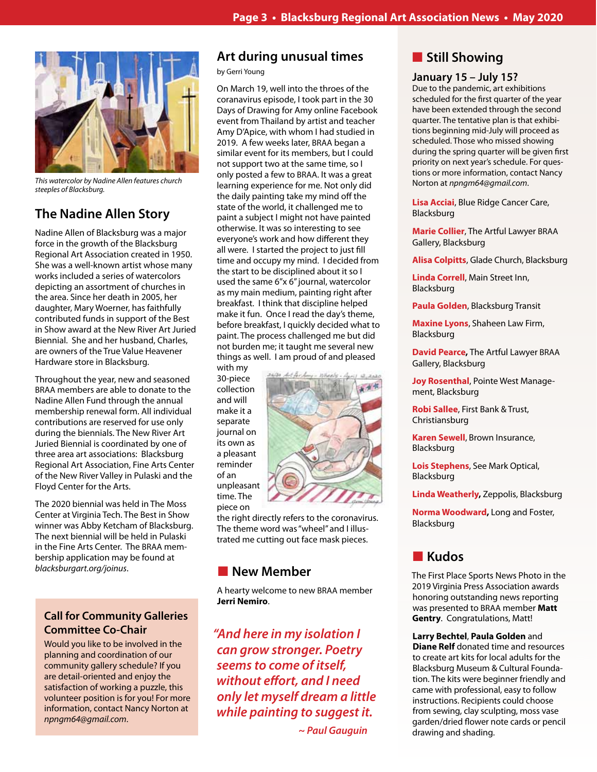

*This watercolor by Nadine Allen features church steeples of Blacksburg.*

## **The Nadine Allen Story**

Nadine Allen of Blacksburg was a major force in the growth of the Blacksburg Regional Art Association created in 1950. She was a well-known artist whose many works included a series of watercolors depicting an assortment of churches in the area. Since her death in 2005, her daughter, Mary Woerner, has faithfully contributed funds in support of the Best in Show award at the New River Art Juried Biennial. She and her husband, Charles, are owners of the True Value Heavener Hardware store in Blacksburg.

Throughout the year, new and seasoned BRAA members are able to donate to the Nadine Allen Fund through the annual membership renewal form. All individual contributions are reserved for use only during the biennials. The New River Art Juried Biennial is coordinated by one of three area art associations: Blacksburg Regional Art Association, Fine Arts Center of the New River Valley in Pulaski and the Floyd Center for the Arts.

The 2020 biennial was held in The Moss Center at Virginia Tech. The Best in Show winner was Abby Ketcham of Blacksburg. The next biennial will be held in Pulaski in the Fine Arts Center. The BRAA membership application may be found at *blacksburgart.org/joinus*.

### **Call for Community Galleries Committee Co-Chair**

Would you like to be involved in the planning and coordination of our community gallery schedule? If you are detail-oriented and enjoy the satisfaction of working a puzzle, this volunteer position is for you! For more information, contact Nancy Norton at *npngm64@gmail.com*.

### **Art during unusual times**

#### by Gerri Young

On March 19, well into the throes of the coranavirus episode, I took part in the 30 Days of Drawing for Amy online Facebook event from Thailand by artist and teacher Amy D'Apice, with whom I had studied in 2019. A few weeks later, BRAA began a similar event for its members, but I could not support two at the same time, so I only posted a few to BRAA. It was a great learning experience for me. Not only did the daily painting take my mind off the state of the world, it challenged me to paint a subject I might not have painted otherwise. It was so interesting to see everyone's work and how different they all were. I started the project to just fill time and occupy my mind. I decided from the start to be disciplined about it so I used the same 6"x 6" journal, watercolor as my main medium, painting right after breakfast. I think that discipline helped make it fun. Once I read the day's theme, before breakfast, I quickly decided what to paint. The process challenged me but did not burden me; it taught me several new things as well. I am proud of and pleased with my

30-piece collection and will make it a separate journal on its own as a pleasant reminder of an unpleasant time. The piece on



the right directly refers to the coronavirus. The theme word was "wheel" and I illustrated me cutting out face mask pieces.

### **New Member**

A hearty welcome to new BRAA member **Jerri Nemiro**.

*"And here in my isolation I can grow stronger. Poetry seems to come of itself, without effort, and I need only let myself dream a little while painting to suggest it.*

 *~ Paul Gauguin*

### **n** Still Showing

### **January 15 – July 15?**

Due to the pandemic, art exhibitions scheduled for the first quarter of the year have been extended through the second quarter. The tentative plan is that exhibitions beginning mid-July will proceed as scheduled. Those who missed showing during the spring quarter will be given first priority on next year's schedule. For questions or more information, contact Nancy Norton at *npngm64@gmail.com*.

**Lisa Acciai**, Blue Ridge Cancer Care, Blacksburg

**Marie Collier**, The Artful Lawyer BRAA Gallery, Blacksburg

**Alisa Colpitts**, Glade Church, Blacksburg

**Linda Correll**, Main Street Inn, Blacksburg

**Paula Golden**, Blacksburg Transit

**Maxine Lyons**, Shaheen Law Firm, Blacksburg

**David Pearce,** The Artful Lawyer BRAA Gallery, Blacksburg

**Joy Rosenthal**, Pointe West Management, Blacksburg

**Robi Sallee**, First Bank & Trust, Christiansburg

**Karen Sewell**, Brown Insurance, Blacksburg

**Lois Stephens**, See Mark Optical, Blacksburg

**Linda Weatherly,** Zeppolis, Blacksburg

**Norma Woodward,** Long and Foster, Blacksburg

### **n** Kudos

The First Place Sports News Photo in the 2019 Virginia Press Association awards honoring outstanding news reporting was presented to BRAA member **Matt Gentry**. Congratulations, Matt!

**Larry Bechtel**, **Paula Golden** and **Diane Relf** donated time and resources to create art kits for local adults for the Blacksburg Museum & Cultural Foundation. The kits were beginner friendly and came with professional, easy to follow instructions. Recipients could choose from sewing, clay sculpting, moss vase garden/dried flower note cards or pencil drawing and shading.